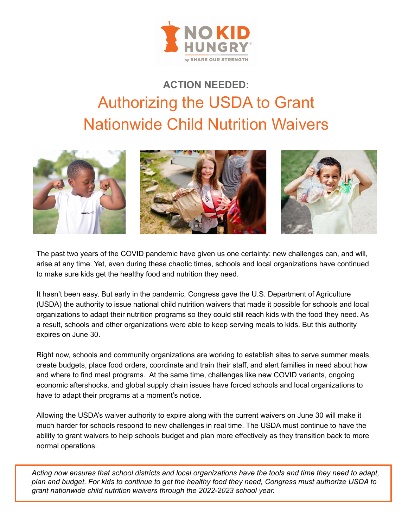

## **ACTION NEEDED:** Authorizing the USDA to Grant Nationwide Child Nutrition Waivers



The past two years of the COVID pandemic have given us one certainty: new challenges can, and will, arise at any time. Yet, even during these chaotic times, schools and local organizations have continued to make sure kids get the healthy food and nutrition they need.

It hasn't been easy. But early in the pandemic, Congress gave the U.S. Department of Agriculture (USDA) the authority to issue national child nutrition waivers that made it possible for schools and local organizations to adapt their nutrition programs so they could still reach kids with the food they need. As a result, schools and other organizations were able to keep serving meals to kids. But this authority expires on June 30.

Right now, schools and community organizations are working to establish sites to serve summer meals, create budgets, place food orders, coordinate and train their staff, and alert families in need about how and where to find meal programs. At the same time, challenges like new COVID variants, ongoing economic aftershocks, and global supply chain issues have forced schools and local organizations to have to adapt their programs at a moment's notice.

Allowing the USDA's waiver authority to expire along with the current waivers on June 30 will make it much harder for schools respond to new challenges in real time. The USDA must continue to have the ability to grant waivers to help schools budget and plan more effectively as they transition back to more normal operations.

*Acting now ensures that school districts and local organizations have the tools and time they need to adapt, plan and budget. For kids to continue to get the healthy food they need, Congress must authorize USDA to grant nationwide child nutrition waivers through the 2022-2023 school year.*